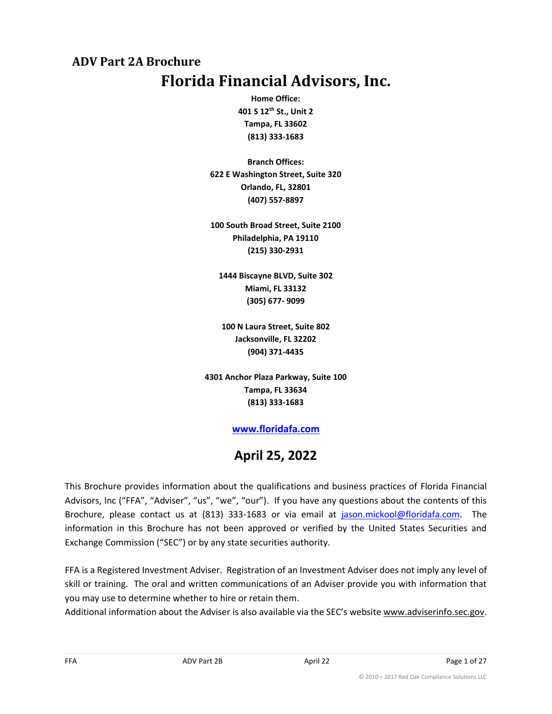# <span id="page-0-1"></span><span id="page-0-0"></span>**I ADV Part 2A Brochure Florida Financial Advisors, Inc.**

**Home Office: 401 S 12th St., Unit 2 Tampa, FL 33602 (813) 333-1683**

**Branch Offices: 622 E Washington Street, Suite 320 Orlando, FL, 32801 (407) 557-8897**

**100 South Broad Street, Suite 2100 Philadelphia, PA 19110 (215) 330-2931**

**1444 Biscayne BLVD, Suite 302 Miami, FL 33132 (305) 677- 9099**

**100 N Laura Street, Suite 802 Jacksonville, FL 32202 (904) 371-4435**

**4301 Anchor Plaza Parkway, Suite 100 Tampa, FL 33634 (813) 333-1683**

## **[www.floridafa.com](http://www.floridafa.com/)**

# **April 25, 2022**

This Brochure provides information about the qualifications and business practices of Florida Financial Advisors, Inc ("FFA", "Adviser", "us", "we", "our"). If you have any questions about the contents of this Brochure, please contact us at (813) 333-1683 or via email at [jason.mickool@floridafa.com.](mailto:jason.mickool@floridafa.com) The information in this Brochure has not been approved or verified by the United States Securities and Exchange Commission ("SEC") or by any state securities authority.

FFA is a Registered Investment Adviser. Registration of an Investment Adviser does not imply any level of skill or training. The oral and written communications of an Adviser provide you with information that you may use to determine whether to hire or retain them.

Additional information about the Adviser is also available via the SEC's website www.adviserinfo.sec.gov.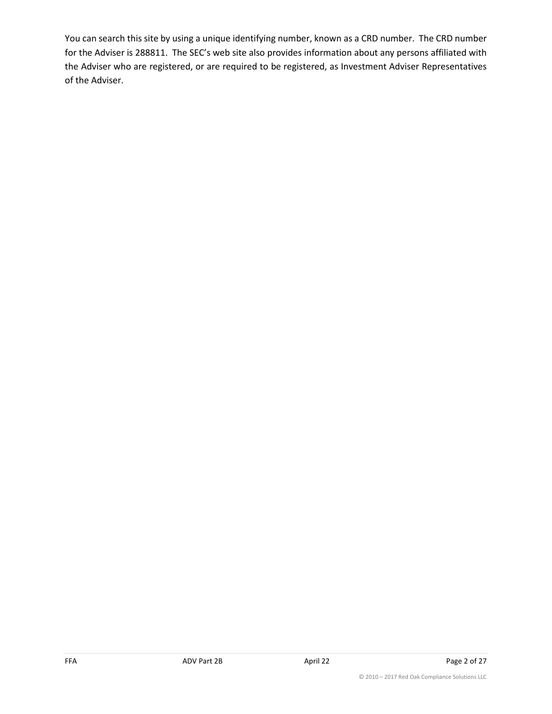You can search this site by using a unique identifying number, known as a CRD number. The CRD number for the Adviser is 288811. The SEC's web site also provides information about any persons affiliated with the Adviser who are registered, or are required to be registered, as Investment Adviser Representatives of the Adviser.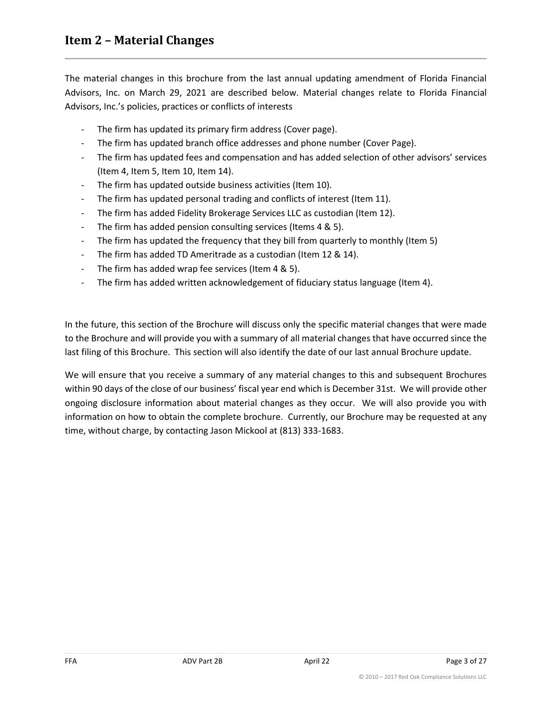<span id="page-2-0"></span>The material changes in this brochure from the last annual updating amendment of Florida Financial Advisors, Inc. on March 29, 2021 are described below. Material changes relate to Florida Financial Advisors, Inc.'s policies, practices or conflicts of interests

- The firm has updated its primary firm address (Cover page).
- The firm has updated branch office addresses and phone number (Cover Page).
- The firm has updated fees and compensation and has added selection of other advisors' services (Item 4, Item 5, Item 10, Item 14).
- The firm has updated outside business activities (Item 10).
- The firm has updated personal trading and conflicts of interest (Item 11).
- The firm has added Fidelity Brokerage Services LLC as custodian (Item 12).
- The firm has added pension consulting services (Items 4 & 5).
- The firm has updated the frequency that they bill from quarterly to monthly (Item 5)
- The firm has added TD Ameritrade as a custodian (Item 12 & 14).
- The firm has added wrap fee services (Item 4 & 5).
- The firm has added written acknowledgement of fiduciary status language (Item 4).

In the future, this section of the Brochure will discuss only the specific material changes that were made to the Brochure and will provide you with a summary of all material changes that have occurred since the last filing of this Brochure. This section will also identify the date of our last annual Brochure update.

We will ensure that you receive a summary of any material changes to this and subsequent Brochures within 90 days of the close of our business' fiscal year end which is December 31st. We will provide other ongoing disclosure information about material changes as they occur. We will also provide you with information on how to obtain the complete brochure. Currently, our Brochure may be requested at any time, without charge, by contacting Jason Mickool at (813) 333-1683.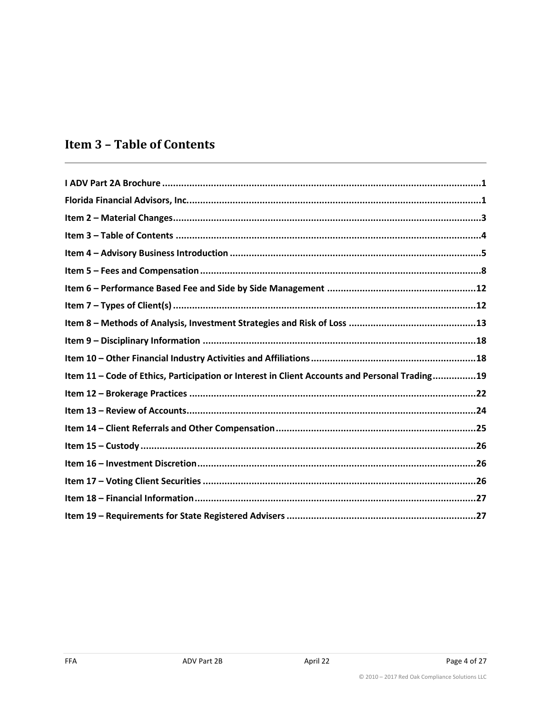# <span id="page-3-0"></span>**Item 3 - Table of Contents**

| Item 11 - Code of Ethics, Participation or Interest in Client Accounts and Personal Trading19 |
|-----------------------------------------------------------------------------------------------|
|                                                                                               |
|                                                                                               |
|                                                                                               |
|                                                                                               |
|                                                                                               |
|                                                                                               |
|                                                                                               |
|                                                                                               |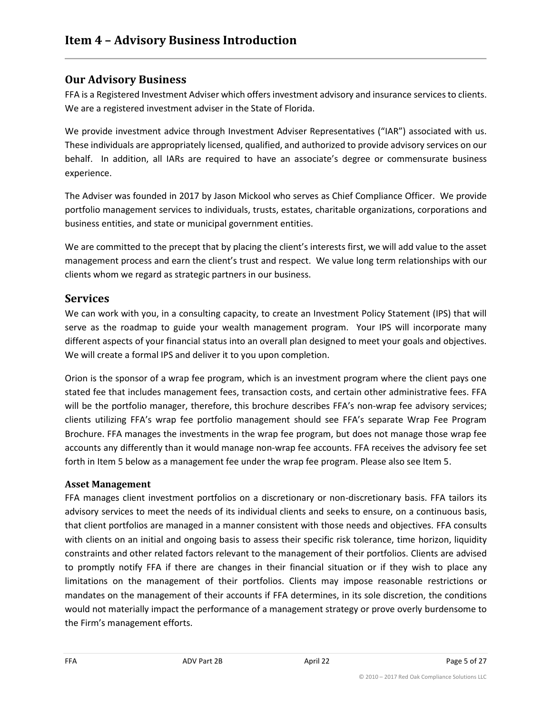## <span id="page-4-0"></span>**Our Advisory Business**

FFA is a Registered Investment Adviser which offers investment advisory and insurance services to clients. We are a registered investment adviser in the State of Florida.

We provide investment advice through Investment Adviser Representatives ("IAR") associated with us. These individuals are appropriately licensed, qualified, and authorized to provide advisory services on our behalf. In addition, all IARs are required to have an associate's degree or commensurate business experience.

The Adviser was founded in 2017 by Jason Mickool who serves as Chief Compliance Officer. We provide portfolio management services to individuals, trusts, estates, charitable organizations, corporations and business entities, and state or municipal government entities.

We are committed to the precept that by placing the client's interests first, we will add value to the asset management process and earn the client's trust and respect. We value long term relationships with our clients whom we regard as strategic partners in our business.

### **Services**

We can work with you, in a consulting capacity, to create an Investment Policy Statement (IPS) that will serve as the roadmap to guide your wealth management program. Your IPS will incorporate many different aspects of your financial status into an overall plan designed to meet your goals and objectives. We will create a formal IPS and deliver it to you upon completion.

Orion is the sponsor of a wrap fee program, which is an investment program where the client pays one stated fee that includes management fees, transaction costs, and certain other administrative fees. FFA will be the portfolio manager, therefore, this brochure describes FFA's non-wrap fee advisory services; clients utilizing FFA's wrap fee portfolio management should see FFA's separate Wrap Fee Program Brochure. FFA manages the investments in the wrap fee program, but does not manage those wrap fee accounts any differently than it would manage non-wrap fee accounts. FFA receives the advisory fee set forth in Item 5 below as a management fee under the wrap fee program. Please also see Item 5.

#### **Asset Management**

FFA manages client investment portfolios on a discretionary or non-discretionary basis. FFA tailors its advisory services to meet the needs of its individual clients and seeks to ensure, on a continuous basis, that client portfolios are managed in a manner consistent with those needs and objectives. FFA consults with clients on an initial and ongoing basis to assess their specific risk tolerance, time horizon, liquidity constraints and other related factors relevant to the management of their portfolios. Clients are advised to promptly notify FFA if there are changes in their financial situation or if they wish to place any limitations on the management of their portfolios. Clients may impose reasonable restrictions or mandates on the management of their accounts if FFA determines, in its sole discretion, the conditions would not materially impact the performance of a management strategy or prove overly burdensome to the Firm's management efforts.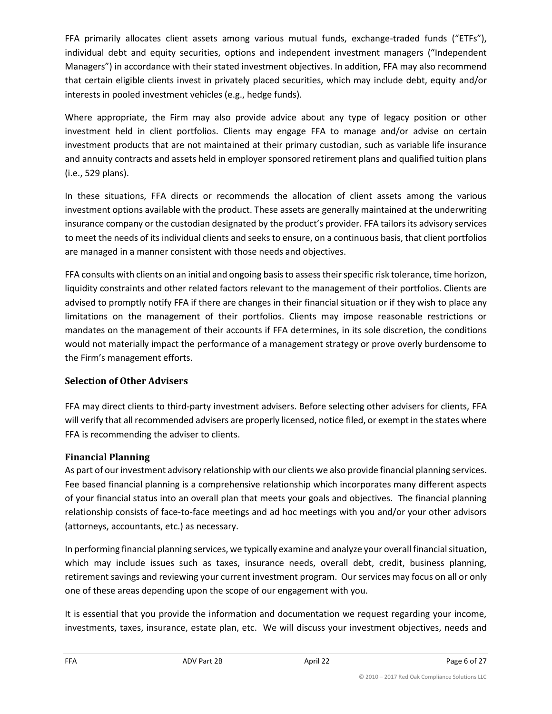FFA primarily allocates client assets among various mutual funds, exchange-traded funds ("ETFs"), individual debt and equity securities, options and independent investment managers ("Independent Managers") in accordance with their stated investment objectives. In addition, FFA may also recommend that certain eligible clients invest in privately placed securities, which may include debt, equity and/or interests in pooled investment vehicles (e.g., hedge funds).

Where appropriate, the Firm may also provide advice about any type of legacy position or other investment held in client portfolios. Clients may engage FFA to manage and/or advise on certain investment products that are not maintained at their primary custodian, such as variable life insurance and annuity contracts and assets held in employer sponsored retirement plans and qualified tuition plans (i.e., 529 plans).

In these situations, FFA directs or recommends the allocation of client assets among the various investment options available with the product. These assets are generally maintained at the underwriting insurance company or the custodian designated by the product's provider. FFA tailors its advisory services to meet the needs of its individual clients and seeks to ensure, on a continuous basis, that client portfolios are managed in a manner consistent with those needs and objectives.

FFA consults with clients on an initial and ongoing basis to assess their specific risk tolerance, time horizon, liquidity constraints and other related factors relevant to the management of their portfolios. Clients are advised to promptly notify FFA if there are changes in their financial situation or if they wish to place any limitations on the management of their portfolios. Clients may impose reasonable restrictions or mandates on the management of their accounts if FFA determines, in its sole discretion, the conditions would not materially impact the performance of a management strategy or prove overly burdensome to the Firm's management efforts.

#### **Selection of Other Advisers**

FFA may direct clients to third-party investment advisers. Before selecting other advisers for clients, FFA will verify that all recommended advisers are properly licensed, notice filed, or exempt in the states where FFA is recommending the adviser to clients.

### **Financial Planning**

As part of our investment advisory relationship with our clients we also provide financial planning services. Fee based financial planning is a comprehensive relationship which incorporates many different aspects of your financial status into an overall plan that meets your goals and objectives. The financial planning relationship consists of face-to-face meetings and ad hoc meetings with you and/or your other advisors (attorneys, accountants, etc.) as necessary.

In performing financial planning services, we typically examine and analyze your overall financial situation, which may include issues such as taxes, insurance needs, overall debt, credit, business planning, retirement savings and reviewing your current investment program. Our services may focus on all or only one of these areas depending upon the scope of our engagement with you.

It is essential that you provide the information and documentation we request regarding your income, investments, taxes, insurance, estate plan, etc. We will discuss your investment objectives, needs and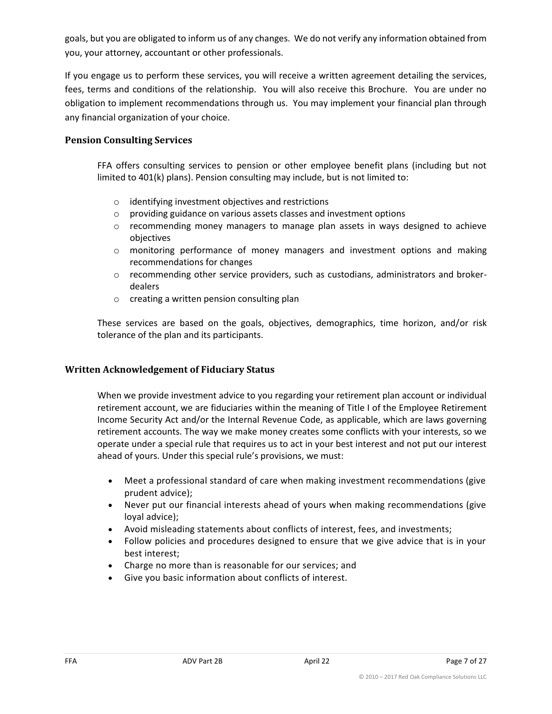goals, but you are obligated to inform us of any changes. We do not verify any information obtained from you, your attorney, accountant or other professionals.

If you engage us to perform these services, you will receive a written agreement detailing the services, fees, terms and conditions of the relationship. You will also receive this Brochure. You are under no obligation to implement recommendations through us. You may implement your financial plan through any financial organization of your choice.

#### **Pension Consulting Services**

FFA offers consulting services to pension or other employee benefit plans (including but not limited to 401(k) plans). Pension consulting may include, but is not limited to:

- o identifying investment objectives and restrictions
- o providing guidance on various assets classes and investment options
- $\circ$  recommending money managers to manage plan assets in ways designed to achieve objectives
- o monitoring performance of money managers and investment options and making recommendations for changes
- o recommending other service providers, such as custodians, administrators and brokerdealers
- o creating a written pension consulting plan

These services are based on the goals, objectives, demographics, time horizon, and/or risk tolerance of the plan and its participants.

#### **Written Acknowledgement of Fiduciary Status**

When we provide investment advice to you regarding your retirement plan account or individual retirement account, we are fiduciaries within the meaning of Title I of the Employee Retirement Income Security Act and/or the Internal Revenue Code, as applicable, which are laws governing retirement accounts. The way we make money creates some conflicts with your interests, so we operate under a special rule that requires us to act in your best interest and not put our interest ahead of yours. Under this special rule's provisions, we must:

- Meet a professional standard of care when making investment recommendations (give prudent advice);
- Never put our financial interests ahead of yours when making recommendations (give loyal advice);
- Avoid misleading statements about conflicts of interest, fees, and investments;
- Follow policies and procedures designed to ensure that we give advice that is in your best interest;
- Charge no more than is reasonable for our services; and
- Give you basic information about conflicts of interest.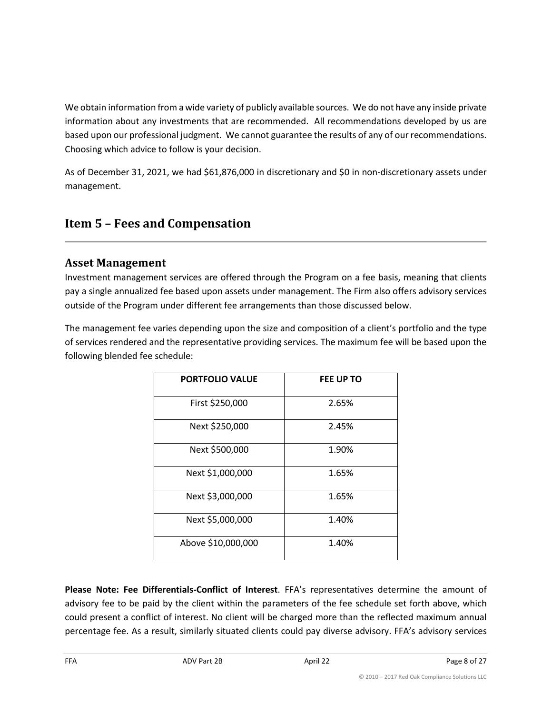We obtain information from a wide variety of publicly available sources. We do not have any inside private information about any investments that are recommended. All recommendations developed by us are based upon our professional judgment. We cannot guarantee the results of any of our recommendations. Choosing which advice to follow is your decision.

As of December 31, 2021, we had \$61,876,000 in discretionary and \$0 in non-discretionary assets under management.

# <span id="page-7-0"></span>**Item 5 – Fees and Compensation**

## **Asset Management**

Investment management services are offered through the Program on a fee basis, meaning that clients pay a single annualized fee based upon assets under management. The Firm also offers advisory services outside of the Program under different fee arrangements than those discussed below.

The management fee varies depending upon the size and composition of a client's portfolio and the type of services rendered and the representative providing services. The maximum fee will be based upon the following blended fee schedule:

| <b>PORTFOLIO VALUE</b> | FEE UP TO |  |  |
|------------------------|-----------|--|--|
| First \$250,000        | 2.65%     |  |  |
| Next \$250,000         | 2.45%     |  |  |
| Next \$500,000         | 1.90%     |  |  |
| Next \$1,000,000       | 1.65%     |  |  |
| Next \$3,000,000       | 1.65%     |  |  |
| Next \$5,000,000       | 1.40%     |  |  |
| Above \$10,000,000     | 1.40%     |  |  |

**Please Note: Fee Differentials-Conflict of Interest**. FFA's representatives determine the amount of advisory fee to be paid by the client within the parameters of the fee schedule set forth above, which could present a conflict of interest. No client will be charged more than the reflected maximum annual percentage fee. As a result, similarly situated clients could pay diverse advisory. FFA's advisory services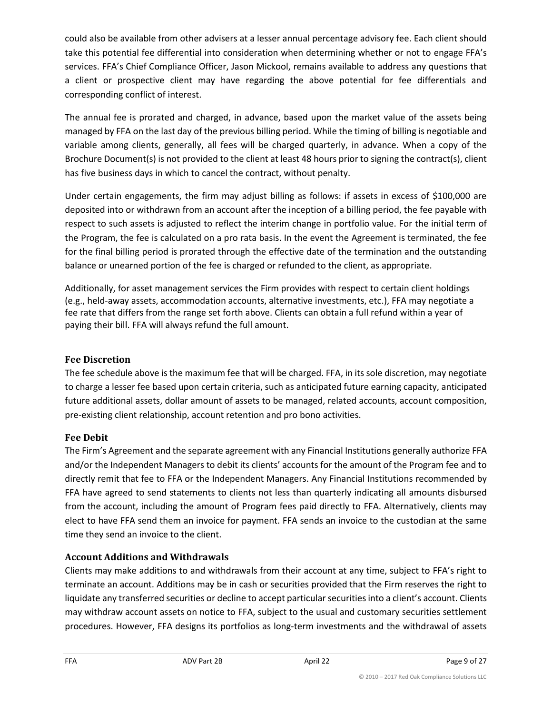could also be available from other advisers at a lesser annual percentage advisory fee. Each client should take this potential fee differential into consideration when determining whether or not to engage FFA's services. FFA's Chief Compliance Officer, Jason Mickool, remains available to address any questions that a client or prospective client may have regarding the above potential for fee differentials and corresponding conflict of interest.

The annual fee is prorated and charged, in advance, based upon the market value of the assets being managed by FFA on the last day of the previous billing period. While the timing of billing is negotiable and variable among clients, generally, all fees will be charged quarterly, in advance. When a copy of the Brochure Document(s) is not provided to the client at least 48 hours prior to signing the contract(s), client has five business days in which to cancel the contract, without penalty.

Under certain engagements, the firm may adjust billing as follows: if assets in excess of \$100,000 are deposited into or withdrawn from an account after the inception of a billing period, the fee payable with respect to such assets is adjusted to reflect the interim change in portfolio value. For the initial term of the Program, the fee is calculated on a pro rata basis. In the event the Agreement is terminated, the fee for the final billing period is prorated through the effective date of the termination and the outstanding balance or unearned portion of the fee is charged or refunded to the client, as appropriate.

Additionally, for asset management services the Firm provides with respect to certain client holdings (e.g., held-away assets, accommodation accounts, alternative investments, etc.), FFA may negotiate a fee rate that differs from the range set forth above. Clients can obtain a full refund within a year of paying their bill. FFA will always refund the full amount.

#### **Fee Discretion**

The fee schedule above is the maximum fee that will be charged. FFA, in its sole discretion, may negotiate to charge a lesser fee based upon certain criteria, such as anticipated future earning capacity, anticipated future additional assets, dollar amount of assets to be managed, related accounts, account composition, pre-existing client relationship, account retention and pro bono activities.

#### **Fee Debit**

The Firm's Agreement and the separate agreement with any Financial Institutions generally authorize FFA and/or the Independent Managers to debit its clients' accounts for the amount of the Program fee and to directly remit that fee to FFA or the Independent Managers. Any Financial Institutions recommended by FFA have agreed to send statements to clients not less than quarterly indicating all amounts disbursed from the account, including the amount of Program fees paid directly to FFA. Alternatively, clients may elect to have FFA send them an invoice for payment. FFA sends an invoice to the custodian at the same time they send an invoice to the client.

### **Account Additions and Withdrawals**

Clients may make additions to and withdrawals from their account at any time, subject to FFA's right to terminate an account. Additions may be in cash or securities provided that the Firm reserves the right to liquidate any transferred securities or decline to accept particular securities into a client's account. Clients may withdraw account assets on notice to FFA, subject to the usual and customary securities settlement procedures. However, FFA designs its portfolios as long-term investments and the withdrawal of assets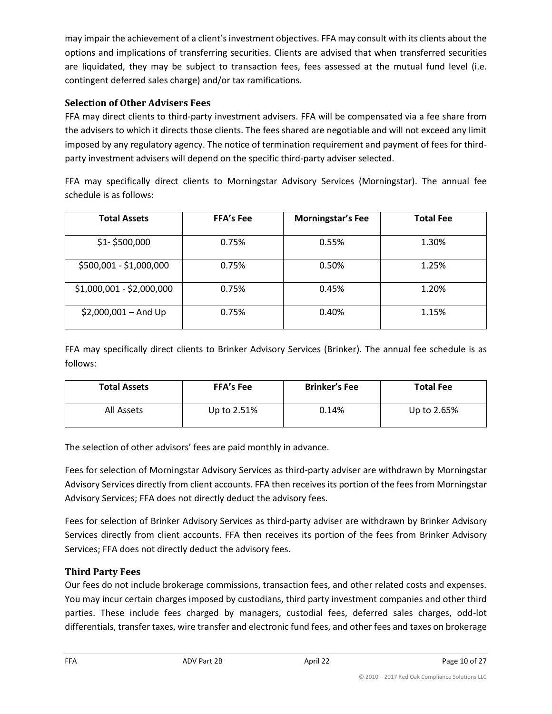may impair the achievement of a client's investment objectives. FFA may consult with its clients about the options and implications of transferring securities. Clients are advised that when transferred securities are liquidated, they may be subject to transaction fees, fees assessed at the mutual fund level (i.e. contingent deferred sales charge) and/or tax ramifications.

#### **Selection of Other Advisers Fees**

FFA may direct clients to third-party investment advisers. FFA will be compensated via a fee share from the advisers to which it directs those clients. The fees shared are negotiable and will not exceed any limit imposed by any regulatory agency. The notice of termination requirement and payment of fees for thirdparty investment advisers will depend on the specific third-party adviser selected.

FFA may specifically direct clients to Morningstar Advisory Services (Morningstar). The annual fee schedule is as follows:

| <b>Total Assets</b>       | <b>FFA's Fee</b> | <b>Morningstar's Fee</b> | <b>Total Fee</b> |
|---------------------------|------------------|--------------------------|------------------|
| $$1 - $500,000$           | 0.75%            | 0.55%                    | 1.30%            |
| \$500,001 - \$1,000,000   | 0.75%            | 0.50%                    | 1.25%            |
| \$1,000,001 - \$2,000,000 | 0.75%            | 0.45%                    | 1.20%            |
| $$2,000,001 - And Up$     | 0.75%            | 0.40%                    | 1.15%            |

FFA may specifically direct clients to Brinker Advisory Services (Brinker). The annual fee schedule is as follows:

| <b>Total Assets</b> | <b>FFA's Fee</b> | <b>Brinker's Fee</b> | <b>Total Fee</b> |
|---------------------|------------------|----------------------|------------------|
| All Assets          | Up to 2.51%      | 0.14%                | Up to 2.65%      |

The selection of other advisors' fees are paid monthly in advance.

Fees for selection of Morningstar Advisory Services as third-party adviser are withdrawn by Morningstar Advisory Services directly from client accounts. FFA then receives its portion of the fees from Morningstar Advisory Services; FFA does not directly deduct the advisory fees.

Fees for selection of Brinker Advisory Services as third-party adviser are withdrawn by Brinker Advisory Services directly from client accounts. FFA then receives its portion of the fees from Brinker Advisory Services; FFA does not directly deduct the advisory fees.

#### **Third Party Fees**

Our fees do not include brokerage commissions, transaction fees, and other related costs and expenses. You may incur certain charges imposed by custodians, third party investment companies and other third parties. These include fees charged by managers, custodial fees, deferred sales charges, odd-lot differentials, transfer taxes, wire transfer and electronic fund fees, and other fees and taxes on brokerage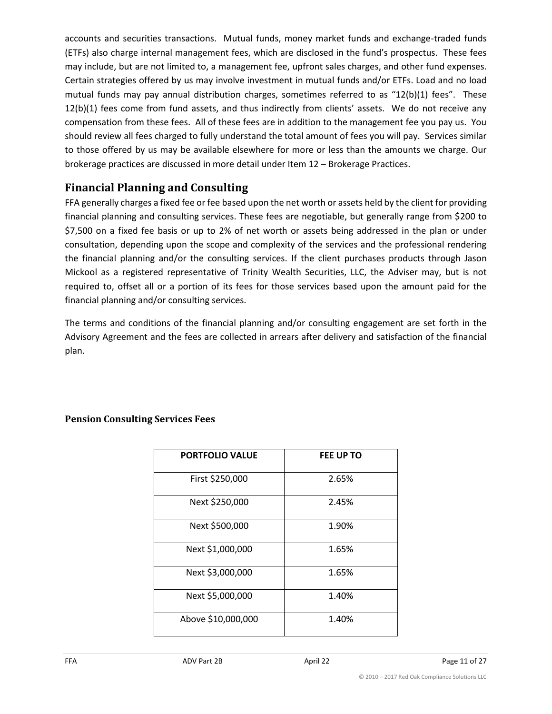accounts and securities transactions. Mutual funds, money market funds and exchange-traded funds (ETFs) also charge internal management fees, which are disclosed in the fund's prospectus. These fees may include, but are not limited to, a management fee, upfront sales charges, and other fund expenses. Certain strategies offered by us may involve investment in mutual funds and/or ETFs. Load and no load mutual funds may pay annual distribution charges, sometimes referred to as "12(b)(1) fees". These 12(b)(1) fees come from fund assets, and thus indirectly from clients' assets. We do not receive any compensation from these fees. All of these fees are in addition to the management fee you pay us. You should review all fees charged to fully understand the total amount of fees you will pay. Services similar to those offered by us may be available elsewhere for more or less than the amounts we charge. Our brokerage practices are discussed in more detail under Item 12 – Brokerage Practices.

## **Financial Planning and Consulting**

FFA generally charges a fixed fee or fee based upon the net worth or assets held by the client for providing financial planning and consulting services. These fees are negotiable, but generally range from \$200 to \$7,500 on a fixed fee basis or up to 2% of net worth or assets being addressed in the plan or under consultation, depending upon the scope and complexity of the services and the professional rendering the financial planning and/or the consulting services. If the client purchases products through Jason Mickool as a registered representative of Trinity Wealth Securities, LLC, the Adviser may, but is not required to, offset all or a portion of its fees for those services based upon the amount paid for the financial planning and/or consulting services.

The terms and conditions of the financial planning and/or consulting engagement are set forth in the Advisory Agreement and the fees are collected in arrears after delivery and satisfaction of the financial plan.

| <b>PORTFOLIO VALUE</b> | <b>FEE UP TO</b> |
|------------------------|------------------|
| First \$250,000        | 2.65%            |
| Next \$250,000         | 2.45%            |
| Next \$500,000         | 1.90%            |
| Next \$1,000,000       | 1.65%            |
| Next \$3,000,000       | 1.65%            |
| Next \$5,000,000       | 1.40%            |
| Above \$10,000,000     | 1.40%            |

### **Pension Consulting Services Fees**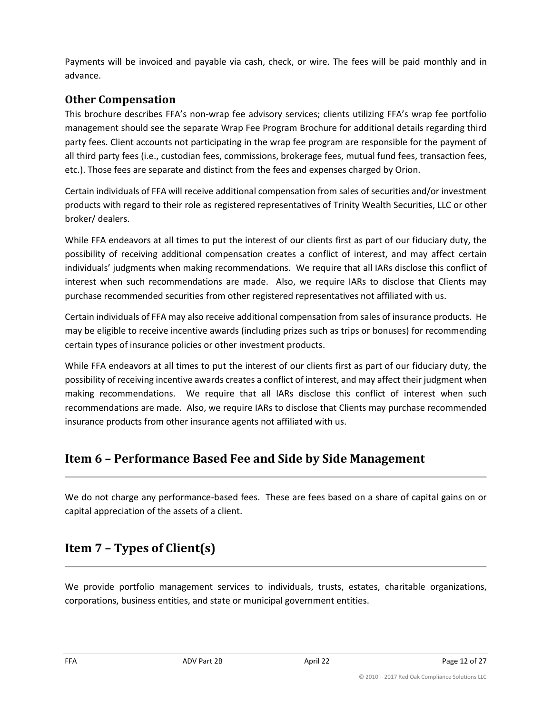Payments will be invoiced and payable via cash, check, or wire. The fees will be paid monthly and in advance.

## **Other Compensation**

This brochure describes FFA's non-wrap fee advisory services; clients utilizing FFA's wrap fee portfolio management should see the separate Wrap Fee Program Brochure for additional details regarding third party fees. Client accounts not participating in the wrap fee program are responsible for the payment of all third party fees (i.e., custodian fees, commissions, brokerage fees, mutual fund fees, transaction fees, etc.). Those fees are separate and distinct from the fees and expenses charged by Orion.

Certain individuals of FFA will receive additional compensation from sales of securities and/or investment products with regard to their role as registered representatives of Trinity Wealth Securities, LLC or other broker/ dealers.

While FFA endeavors at all times to put the interest of our clients first as part of our fiduciary duty, the possibility of receiving additional compensation creates a conflict of interest, and may affect certain individuals' judgments when making recommendations. We require that all IARs disclose this conflict of interest when such recommendations are made. Also, we require IARs to disclose that Clients may purchase recommended securities from other registered representatives not affiliated with us.

Certain individuals of FFA may also receive additional compensation from sales of insurance products. He may be eligible to receive incentive awards (including prizes such as trips or bonuses) for recommending certain types of insurance policies or other investment products.

While FFA endeavors at all times to put the interest of our clients first as part of our fiduciary duty, the possibility of receiving incentive awards creates a conflict of interest, and may affect their judgment when making recommendations. We require that all IARs disclose this conflict of interest when such recommendations are made. Also, we require IARs to disclose that Clients may purchase recommended insurance products from other insurance agents not affiliated with us.

# <span id="page-11-0"></span>**Item 6 – Performance Based Fee and Side by Side Management**

We do not charge any performance-based fees. These are fees based on a share of capital gains on or capital appreciation of the assets of a client.

# <span id="page-11-1"></span>**Item 7 – Types of Client(s)**

We provide portfolio management services to individuals, trusts, estates, charitable organizations, corporations, business entities, and state or municipal government entities.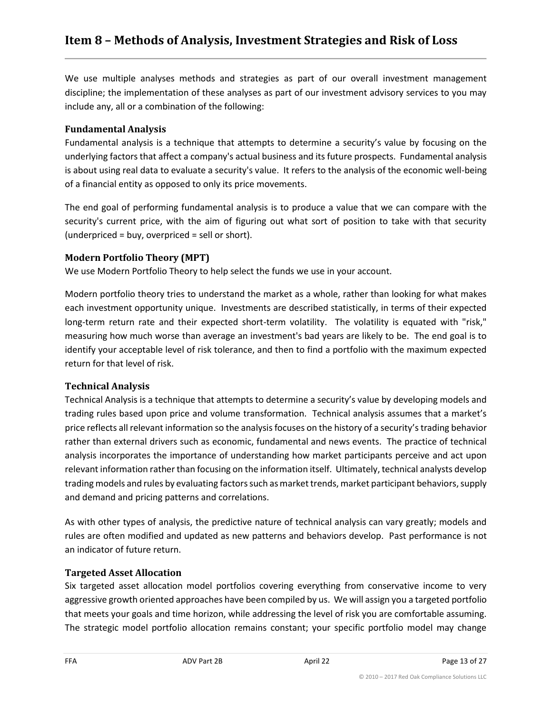<span id="page-12-0"></span>We use multiple analyses methods and strategies as part of our overall investment management discipline; the implementation of these analyses as part of our investment advisory services to you may include any, all or a combination of the following:

#### **Fundamental Analysis**

Fundamental analysis is a technique that attempts to determine a security's value by focusing on the underlying factors that affect a company's actual business and its future prospects. Fundamental analysis is about using real data to evaluate a security's value. It refers to the analysis of the economic well-being of a financial entity as opposed to only its price movements.

The end goal of performing fundamental analysis is to produce a value that we can compare with the security's current price, with the aim of figuring out what sort of position to take with that security (underpriced = buy, overpriced = sell or short).

#### **Modern Portfolio Theory (MPT)**

We use Modern Portfolio Theory to help select the funds we use in your account.

Modern portfolio theory tries to understand the market as a whole, rather than looking for what makes each investment opportunity unique. Investments are described statistically, in terms of their expected long-term return rate and their expected short-term volatility. The volatility is equated with "risk," measuring how much worse than average an investment's bad years are likely to be. The end goal is to identify your acceptable level of risk tolerance, and then to find a portfolio with the maximum expected return for that level of risk.

#### **Technical Analysis**

Technical Analysis is a technique that attempts to determine a security's value by developing models and trading rules based upon price and volume transformation. Technical analysis assumes that a market's price reflects all relevant information so the analysis focuses on the history of a security's trading behavior rather than external drivers such as economic, fundamental and news events. The practice of technical analysis incorporates the importance of understanding how market participants perceive and act upon relevant information rather than focusing on the information itself. Ultimately, technical analysts develop trading models and rules by evaluating factors such as market trends, market participant behaviors, supply and demand and pricing patterns and correlations.

As with other types of analysis, the predictive nature of technical analysis can vary greatly; models and rules are often modified and updated as new patterns and behaviors develop. Past performance is not an indicator of future return.

#### **Targeted Asset Allocation**

Six targeted asset allocation model portfolios covering everything from conservative income to very aggressive growth oriented approaches have been compiled by us. We will assign you a targeted portfolio that meets your goals and time horizon, while addressing the level of risk you are comfortable assuming. The strategic model portfolio allocation remains constant; your specific portfolio model may change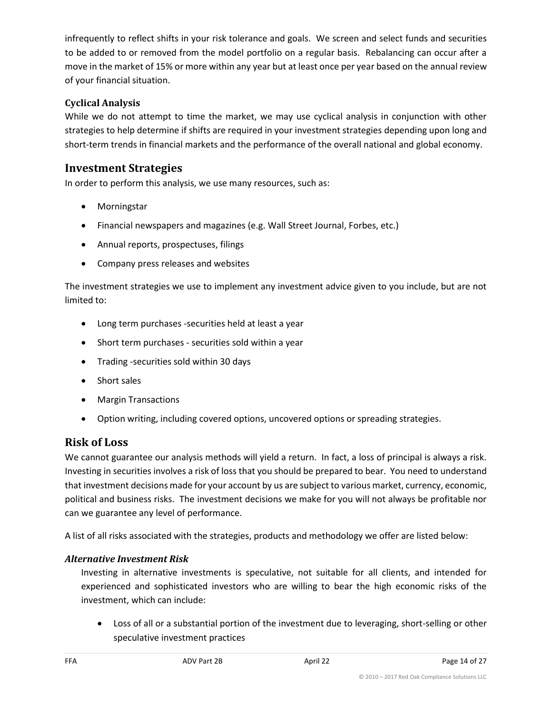infrequently to reflect shifts in your risk tolerance and goals. We screen and select funds and securities to be added to or removed from the model portfolio on a regular basis. Rebalancing can occur after a move in the market of 15% or more within any year but at least once per year based on the annual review of your financial situation.

### **Cyclical Analysis**

While we do not attempt to time the market, we may use cyclical analysis in conjunction with other strategies to help determine if shifts are required in your investment strategies depending upon long and short-term trends in financial markets and the performance of the overall national and global economy.

## **Investment Strategies**

In order to perform this analysis, we use many resources, such as:

- Morningstar
- Financial newspapers and magazines (e.g. Wall Street Journal, Forbes, etc.)
- Annual reports, prospectuses, filings
- Company press releases and websites

The investment strategies we use to implement any investment advice given to you include, but are not limited to:

- Long term purchases -securities held at least a year
- Short term purchases securities sold within a year
- Trading -securities sold within 30 days
- Short sales
- Margin Transactions
- Option writing, including covered options, uncovered options or spreading strategies.

## **Risk of Loss**

We cannot guarantee our analysis methods will yield a return. In fact, a loss of principal is always a risk. Investing in securities involves a risk of loss that you should be prepared to bear. You need to understand that investment decisions made for your account by us are subject to various market, currency, economic, political and business risks. The investment decisions we make for you will not always be profitable nor can we guarantee any level of performance.

A list of all risks associated with the strategies, products and methodology we offer are listed below:

#### *Alternative Investment Risk*

Investing in alternative investments is speculative, not suitable for all clients, and intended for experienced and sophisticated investors who are willing to bear the high economic risks of the investment, which can include:

• Loss of all or a substantial portion of the investment due to leveraging, short-selling or other speculative investment practices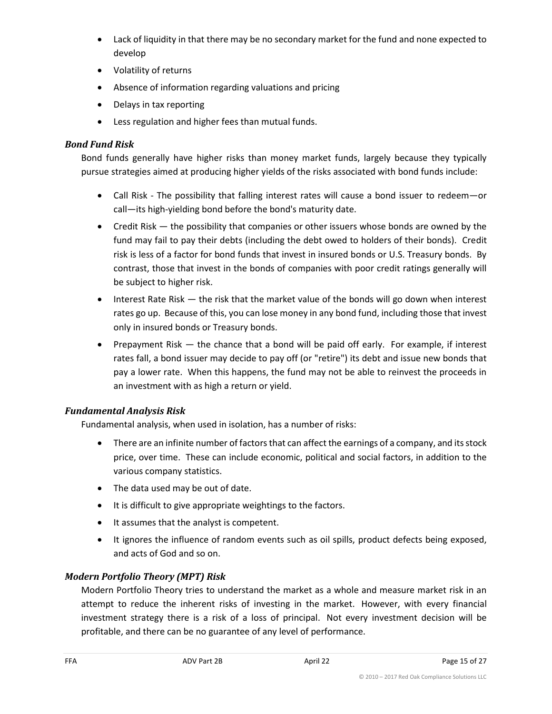- Lack of liquidity in that there may be no secondary market for the fund and none expected to develop
- Volatility of returns
- Absence of information regarding valuations and pricing
- Delays in tax reporting
- Less regulation and higher fees than mutual funds.

#### *Bond Fund Risk*

Bond funds generally have higher risks than money market funds, largely because they typically pursue strategies aimed at producing higher yields of the risks associated with bond funds include:

- Call Risk The possibility that falling interest rates will cause a bond issuer to redeem—or call—its high-yielding bond before the bond's maturity date.
- Credit Risk the possibility that companies or other issuers whose bonds are owned by the fund may fail to pay their debts (including the debt owed to holders of their bonds). Credit risk is less of a factor for bond funds that invest in insured bonds or U.S. Treasury bonds. By contrast, those that invest in the bonds of companies with poor credit ratings generally will be subject to higher risk.
- Interest Rate Risk the risk that the market value of the bonds will go down when interest rates go up. Because of this, you can lose money in any bond fund, including those that invest only in insured bonds or Treasury bonds.
- Prepayment Risk the chance that a bond will be paid off early. For example, if interest rates fall, a bond issuer may decide to pay off (or "retire") its debt and issue new bonds that pay a lower rate. When this happens, the fund may not be able to reinvest the proceeds in an investment with as high a return or yield.

#### *Fundamental Analysis Risk*

Fundamental analysis, when used in isolation, has a number of risks:

- There are an infinite number of factors that can affect the earnings of a company, and its stock price, over time. These can include economic, political and social factors, in addition to the various company statistics.
- The data used may be out of date.
- It is difficult to give appropriate weightings to the factors.
- It assumes that the analyst is competent.
- It ignores the influence of random events such as oil spills, product defects being exposed, and acts of God and so on.

#### *Modern Portfolio Theory (MPT) Risk*

Modern Portfolio Theory tries to understand the market as a whole and measure market risk in an attempt to reduce the inherent risks of investing in the market. However, with every financial investment strategy there is a risk of a loss of principal. Not every investment decision will be profitable, and there can be no guarantee of any level of performance.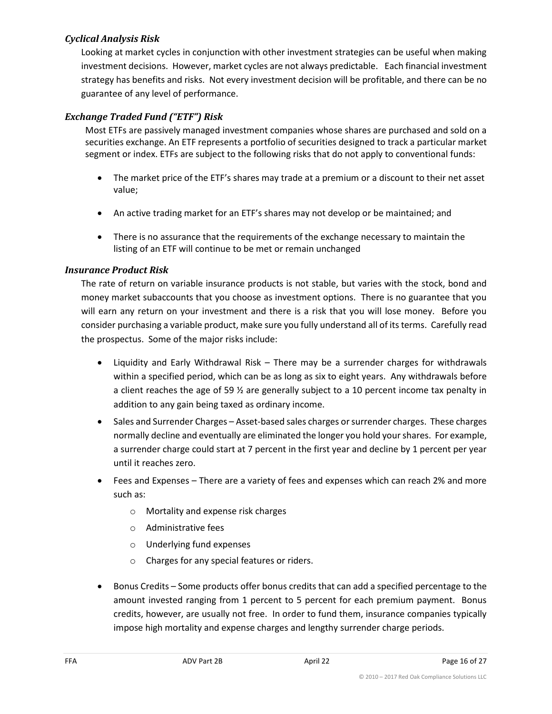#### *Cyclical Analysis Risk*

Looking at market cycles in conjunction with other investment strategies can be useful when making investment decisions. However, market cycles are not always predictable. Each financial investment strategy has benefits and risks. Not every investment decision will be profitable, and there can be no guarantee of any level of performance.

### *Exchange Traded Fund ("ETF") Risk*

Most ETFs are passively managed investment companies whose shares are purchased and sold on a securities exchange. An ETF represents a portfolio of securities designed to track a particular market segment or index. ETFs are subject to the following risks that do not apply to conventional funds:

- The market price of the ETF's shares may trade at a premium or a discount to their net asset value;
- An active trading market for an ETF's shares may not develop or be maintained; and
- There is no assurance that the requirements of the exchange necessary to maintain the listing of an ETF will continue to be met or remain unchanged

### *Insurance Product Risk*

The rate of return on variable insurance products is not stable, but varies with the stock, bond and money market subaccounts that you choose as investment options. There is no guarantee that you will earn any return on your investment and there is a risk that you will lose money. Before you consider purchasing a variable product, make sure you fully understand all of its terms. Carefully read the prospectus. Some of the major risks include:

- Liquidity and Early Withdrawal Risk There may be a surrender charges for withdrawals within a specified period, which can be as long as six to eight years. Any withdrawals before a client reaches the age of 59 ½ are generally subject to a 10 percent income tax penalty in addition to any gain being taxed as ordinary income.
- Sales and Surrender Charges Asset-based sales charges or surrender charges. These charges normally decline and eventually are eliminated the longer you hold your shares. For example, a surrender charge could start at 7 percent in the first year and decline by 1 percent per year until it reaches zero.
- Fees and Expenses There are a variety of fees and expenses which can reach 2% and more such as:
	- o Mortality and expense risk charges
	- o Administrative fees
	- o Underlying fund expenses
	- o Charges for any special features or riders.
- Bonus Credits Some products offer bonus credits that can add a specified percentage to the amount invested ranging from 1 percent to 5 percent for each premium payment. Bonus credits, however, are usually not free. In order to fund them, insurance companies typically impose high mortality and expense charges and lengthy surrender charge periods.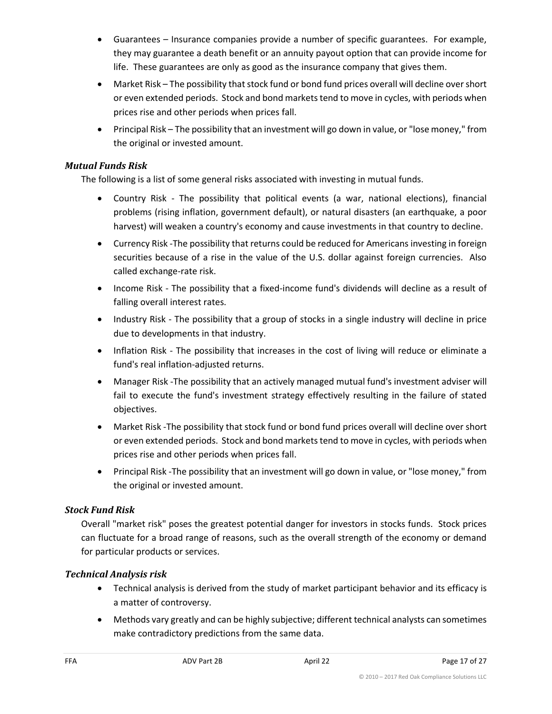- Guarantees Insurance companies provide a number of specific guarantees. For example, they may guarantee a death benefit or an annuity payout option that can provide income for life. These guarantees are only as good as the insurance company that gives them.
- Market Risk The possibility that stock fund or bond fund prices overall will decline over short or even extended periods. Stock and bond markets tend to move in cycles, with periods when prices rise and other periods when prices fall.
- Principal Risk The possibility that an investment will go down in value, or "lose money," from the original or invested amount.

#### *Mutual Funds Risk*

The following is a list of some general risks associated with investing in mutual funds.

- Country Risk The possibility that political events (a war, national elections), financial problems (rising inflation, government default), or natural disasters (an earthquake, a poor harvest) will weaken a country's economy and cause investments in that country to decline.
- Currency Risk -The possibility that returns could be reduced for Americans investing in foreign securities because of a rise in the value of the U.S. dollar against foreign currencies. Also called exchange-rate risk.
- Income Risk The possibility that a fixed-income fund's dividends will decline as a result of falling overall interest rates.
- Industry Risk The possibility that a group of stocks in a single industry will decline in price due to developments in that industry.
- Inflation Risk The possibility that increases in the cost of living will reduce or eliminate a fund's real inflation-adjusted returns.
- Manager Risk -The possibility that an actively managed mutual fund's investment adviser will fail to execute the fund's investment strategy effectively resulting in the failure of stated objectives.
- Market Risk -The possibility that stock fund or bond fund prices overall will decline over short or even extended periods. Stock and bond markets tend to move in cycles, with periods when prices rise and other periods when prices fall.
- Principal Risk -The possibility that an investment will go down in value, or "lose money," from the original or invested amount.

### *Stock Fund Risk*

Overall "market risk" poses the greatest potential danger for investors in stocks funds. Stock prices can fluctuate for a broad range of reasons, such as the overall strength of the economy or demand for particular products or services.

### *Technical Analysis risk*

- Technical analysis is derived from the study of market participant behavior and its efficacy is a matter of controversy.
- Methods vary greatly and can be highly subjective; different technical analysts can sometimes make contradictory predictions from the same data.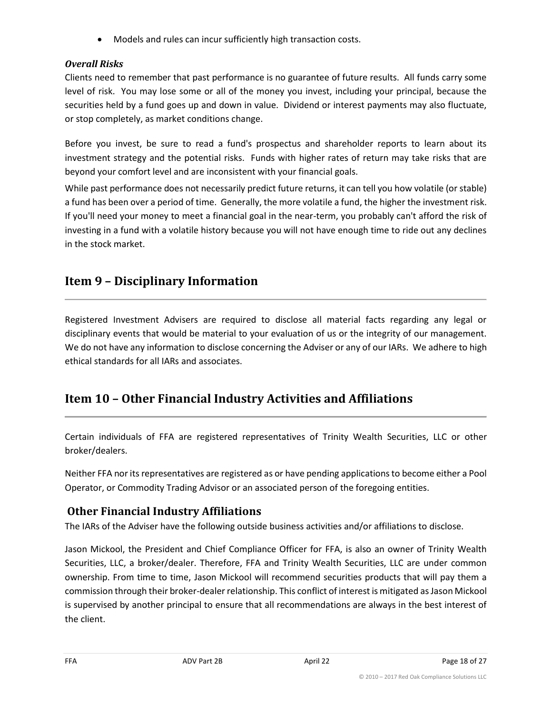• Models and rules can incur sufficiently high transaction costs.

## *Overall Risks*

Clients need to remember that past performance is no guarantee of future results. All funds carry some level of risk. You may lose some or all of the money you invest, including your principal, because the securities held by a fund goes up and down in value. Dividend or interest payments may also fluctuate, or stop completely, as market conditions change.

Before you invest, be sure to read a fund's prospectus and shareholder reports to learn about its investment strategy and the potential risks. Funds with higher rates of return may take risks that are beyond your comfort level and are inconsistent with your financial goals.

While past performance does not necessarily predict future returns, it can tell you how volatile (or stable) a fund has been over a period of time. Generally, the more volatile a fund, the higher the investment risk. If you'll need your money to meet a financial goal in the near-term, you probably can't afford the risk of investing in a fund with a volatile history because you will not have enough time to ride out any declines in the stock market.

# <span id="page-17-0"></span>**Item 9 – Disciplinary Information**

Registered Investment Advisers are required to disclose all material facts regarding any legal or disciplinary events that would be material to your evaluation of us or the integrity of our management. We do not have any information to disclose concerning the Adviser or any of our IARs. We adhere to high ethical standards for all IARs and associates.

# <span id="page-17-1"></span>**Item 10 – Other Financial Industry Activities and Affiliations**

Certain individuals of FFA are registered representatives of Trinity Wealth Securities, LLC or other broker/dealers.

Neither FFA nor its representatives are registered as or have pending applications to become either a Pool Operator, or Commodity Trading Advisor or an associated person of the foregoing entities.

# **Other Financial Industry Affiliations**

The IARs of the Adviser have the following outside business activities and/or affiliations to disclose.

Jason Mickool, the President and Chief Compliance Officer for FFA, is also an owner of Trinity Wealth Securities, LLC, a broker/dealer. Therefore, FFA and Trinity Wealth Securities, LLC are under common ownership. From time to time, Jason Mickool will recommend securities products that will pay them a commission through their broker-dealer relationship. This conflict of interest is mitigated as Jason Mickool is supervised by another principal to ensure that all recommendations are always in the best interest of the client.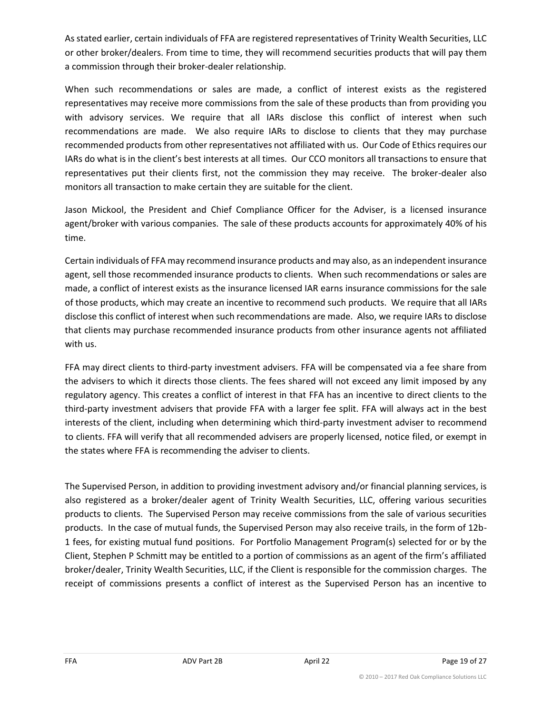As stated earlier, certain individuals of FFA are registered representatives of Trinity Wealth Securities, LLC or other broker/dealers. From time to time, they will recommend securities products that will pay them a commission through their broker-dealer relationship.

When such recommendations or sales are made, a conflict of interest exists as the registered representatives may receive more commissions from the sale of these products than from providing you with advisory services. We require that all IARs disclose this conflict of interest when such recommendations are made. We also require IARs to disclose to clients that they may purchase recommended products from other representatives not affiliated with us. Our Code of Ethics requires our IARs do what is in the client's best interests at all times. Our CCO monitors all transactions to ensure that representatives put their clients first, not the commission they may receive. The broker-dealer also monitors all transaction to make certain they are suitable for the client.

Jason Mickool, the President and Chief Compliance Officer for the Adviser, is a licensed insurance agent/broker with various companies. The sale of these products accounts for approximately 40% of his time.

Certain individuals of FFA may recommend insurance products and may also, as an independent insurance agent, sell those recommended insurance products to clients. When such recommendations or sales are made, a conflict of interest exists as the insurance licensed IAR earns insurance commissions for the sale of those products, which may create an incentive to recommend such products. We require that all IARs disclose this conflict of interest when such recommendations are made. Also, we require IARs to disclose that clients may purchase recommended insurance products from other insurance agents not affiliated with us.

FFA may direct clients to third-party investment advisers. FFA will be compensated via a fee share from the advisers to which it directs those clients. The fees shared will not exceed any limit imposed by any regulatory agency. This creates a conflict of interest in that FFA has an incentive to direct clients to the third-party investment advisers that provide FFA with a larger fee split. FFA will always act in the best interests of the client, including when determining which third-party investment adviser to recommend to clients. FFA will verify that all recommended advisers are properly licensed, notice filed, or exempt in the states where FFA is recommending the adviser to clients.

<span id="page-18-0"></span>The Supervised Person, in addition to providing investment advisory and/or financial planning services, is also registered as a broker/dealer agent of Trinity Wealth Securities, LLC, offering various securities products to clients. The Supervised Person may receive commissions from the sale of various securities products. In the case of mutual funds, the Supervised Person may also receive trails, in the form of 12b-1 fees, for existing mutual fund positions. For Portfolio Management Program(s) selected for or by the Client, Stephen P Schmitt may be entitled to a portion of commissions as an agent of the firm's affiliated broker/dealer, Trinity Wealth Securities, LLC, if the Client is responsible for the commission charges. The receipt of commissions presents a conflict of interest as the Supervised Person has an incentive to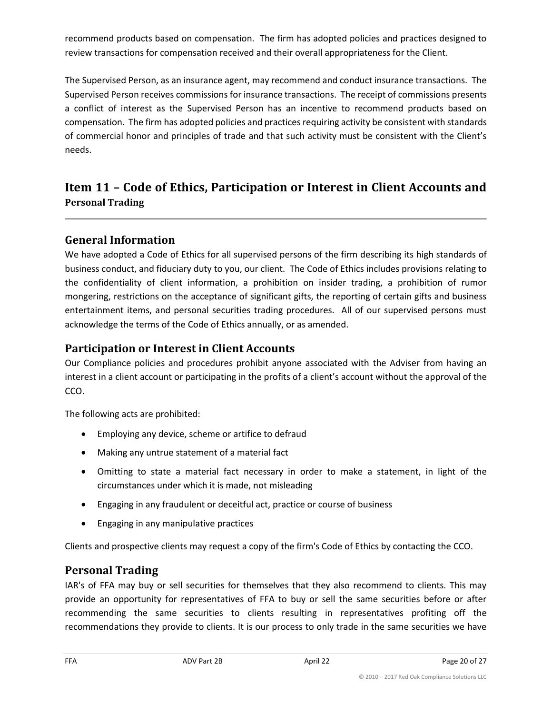recommend products based on compensation. The firm has adopted policies and practices designed to review transactions for compensation received and their overall appropriateness for the Client.

The Supervised Person, as an insurance agent, may recommend and conduct insurance transactions. The Supervised Person receives commissions for insurance transactions. The receipt of commissions presents a conflict of interest as the Supervised Person has an incentive to recommend products based on compensation. The firm has adopted policies and practices requiring activity be consistent with standards of commercial honor and principles of trade and that such activity must be consistent with the Client's needs.

# **Item 11 – Code of Ethics, Participation or Interest in Client Accounts and Personal Trading**

## **General Information**

We have adopted a Code of Ethics for all supervised persons of the firm describing its high standards of business conduct, and fiduciary duty to you, our client. The Code of Ethics includes provisions relating to the confidentiality of client information, a prohibition on insider trading, a prohibition of rumor mongering, restrictions on the acceptance of significant gifts, the reporting of certain gifts and business entertainment items, and personal securities trading procedures. All of our supervised persons must acknowledge the terms of the Code of Ethics annually, or as amended.

## **Participation or Interest in Client Accounts**

Our Compliance policies and procedures prohibit anyone associated with the Adviser from having an interest in a client account or participating in the profits of a client's account without the approval of the CCO.

The following acts are prohibited:

- Employing any device, scheme or artifice to defraud
- Making any untrue statement of a material fact
- Omitting to state a material fact necessary in order to make a statement, in light of the circumstances under which it is made, not misleading
- Engaging in any fraudulent or deceitful act, practice or course of business
- Engaging in any manipulative practices

Clients and prospective clients may request a copy of the firm's Code of Ethics by contacting the CCO.

## **Personal Trading**

IAR's of FFA may buy or sell securities for themselves that they also recommend to clients. This may provide an opportunity for representatives of FFA to buy or sell the same securities before or after recommending the same securities to clients resulting in representatives profiting off the recommendations they provide to clients. It is our process to only trade in the same securities we have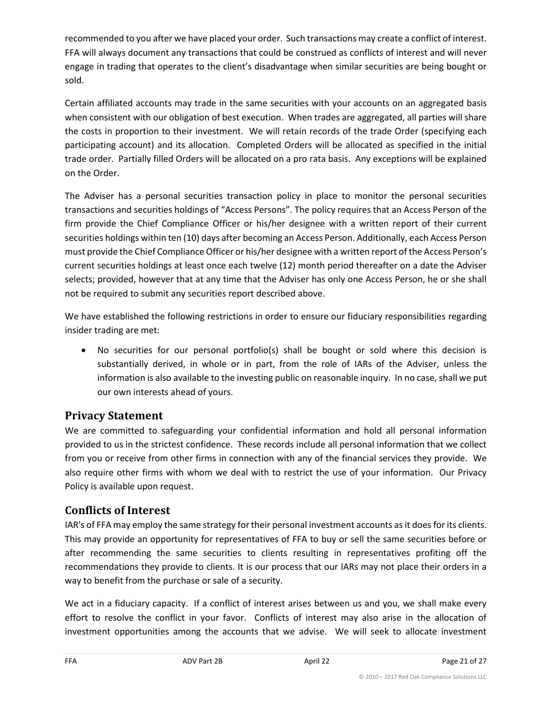recommended to you after we have placed your order. Such transactions may create a conflict of interest. FFA will always document any transactions that could be construed as conflicts of interest and will never engage in trading that operates to the client's disadvantage when similar securities are being bought or sold.

Certain affiliated accounts may trade in the same securities with your accounts on an aggregated basis when consistent with our obligation of best execution. When trades are aggregated, all parties will share the costs in proportion to their investment. We will retain records of the trade Order (specifying each participating account) and its allocation. Completed Orders will be allocated as specified in the initial trade order. Partially filled Orders will be allocated on a pro rata basis. Any exceptions will be explained on the Order.

The Adviser has a personal securities transaction policy in place to monitor the personal securities transactions and securities holdings of "Access Persons". The policy requires that an Access Person of the firm provide the Chief Compliance Officer or his/her designee with a written report of their current securities holdings within ten (10) days after becoming an Access Person. Additionally, each Access Person must provide the Chief Compliance Officer or his/her designee with a written report of the Access Person's current securities holdings at least once each twelve (12) month period thereafter on a date the Adviser selects; provided, however that at any time that the Adviser has only one Access Person, he or she shall not be required to submit any securities report described above.

We have established the following restrictions in order to ensure our fiduciary responsibilities regarding insider trading are met:

• No securities for our personal portfolio(s) shall be bought or sold where this decision is substantially derived, in whole or in part, from the role of IARs of the Adviser, unless the information is also available to the investing public on reasonable inquiry. In no case, shall we put our own interests ahead of yours.

## **Privacy Statement**

We are committed to safeguarding your confidential information and hold all personal information provided to us in the strictest confidence. These records include all personal information that we collect from you or receive from other firms in connection with any of the financial services they provide. We also require other firms with whom we deal with to restrict the use of your information. Our Privacy Policy is available upon request.

# **Conflicts of Interest**

IAR's of FFA may employ the same strategy for their personal investment accounts as it does for its clients. This may provide an opportunity for representatives of FFA to buy or sell the same securities before or after recommending the same securities to clients resulting in representatives profiting off the recommendations they provide to clients. It is our process that our IARs may not place their orders in a way to benefit from the purchase or sale of a security.

We act in a fiduciary capacity. If a conflict of interest arises between us and you, we shall make every effort to resolve the conflict in your favor. Conflicts of interest may also arise in the allocation of investment opportunities among the accounts that we advise. We will seek to allocate investment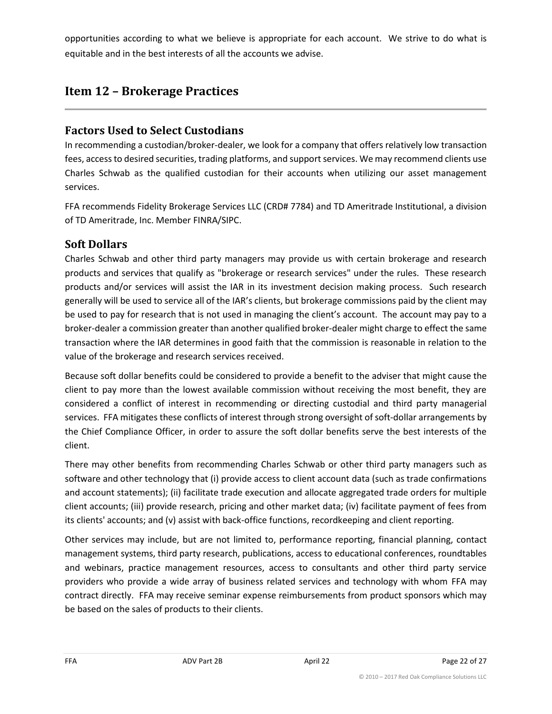opportunities according to what we believe is appropriate for each account. We strive to do what is equitable and in the best interests of all the accounts we advise.

# <span id="page-21-0"></span>**Item 12 – Brokerage Practices**

## **Factors Used to Select Custodians**

In recommending a custodian/broker-dealer, we look for a company that offers relatively low transaction fees, access to desired securities, trading platforms, and support services. We may recommend clients use Charles Schwab as the qualified custodian for their accounts when utilizing our asset management services.

FFA recommends Fidelity Brokerage Services LLC (CRD# 7784) and TD Ameritrade Institutional, a division of TD Ameritrade, Inc. Member FINRA/SIPC.

# **Soft Dollars**

Charles Schwab and other third party managers may provide us with certain brokerage and research products and services that qualify as "brokerage or research services" under the rules. These research products and/or services will assist the IAR in its investment decision making process. Such research generally will be used to service all of the IAR's clients, but brokerage commissions paid by the client may be used to pay for research that is not used in managing the client's account. The account may pay to a broker-dealer a commission greater than another qualified broker-dealer might charge to effect the same transaction where the IAR determines in good faith that the commission is reasonable in relation to the value of the brokerage and research services received.

Because soft dollar benefits could be considered to provide a benefit to the adviser that might cause the client to pay more than the lowest available commission without receiving the most benefit, they are considered a conflict of interest in recommending or directing custodial and third party managerial services. FFA mitigates these conflicts of interest through strong oversight of soft-dollar arrangements by the Chief Compliance Officer, in order to assure the soft dollar benefits serve the best interests of the client.

There may other benefits from recommending Charles Schwab or other third party managers such as software and other technology that (i) provide access to client account data (such as trade confirmations and account statements); (ii) facilitate trade execution and allocate aggregated trade orders for multiple client accounts; (iii) provide research, pricing and other market data; (iv) facilitate payment of fees from its clients' accounts; and (v) assist with back-office functions, recordkeeping and client reporting.

Other services may include, but are not limited to, performance reporting, financial planning, contact management systems, third party research, publications, access to educational conferences, roundtables and webinars, practice management resources, access to consultants and other third party service providers who provide a wide array of business related services and technology with whom FFA may contract directly. FFA may receive seminar expense reimbursements from product sponsors which may be based on the sales of products to their clients.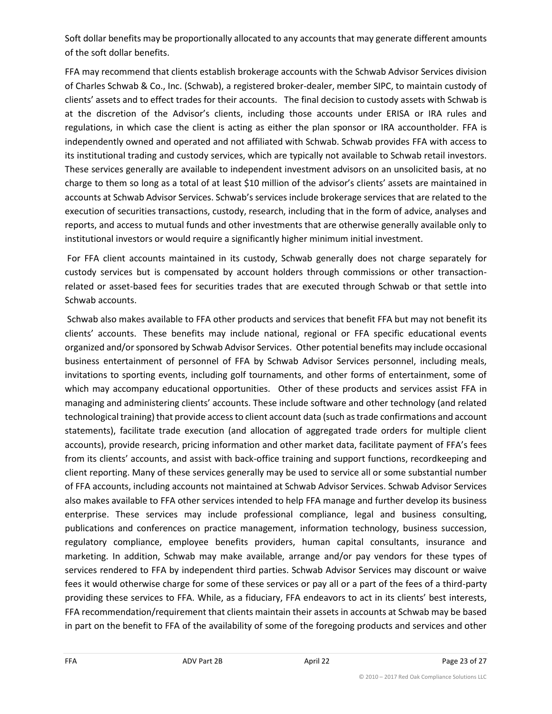Soft dollar benefits may be proportionally allocated to any accounts that may generate different amounts of the soft dollar benefits.

FFA may recommend that clients establish brokerage accounts with the Schwab Advisor Services division of Charles Schwab & Co., Inc. (Schwab), a registered broker-dealer, member SIPC, to maintain custody of clients' assets and to effect trades for their accounts. The final decision to custody assets with Schwab is at the discretion of the Advisor's clients, including those accounts under ERISA or IRA rules and regulations, in which case the client is acting as either the plan sponsor or IRA accountholder. FFA is independently owned and operated and not affiliated with Schwab. Schwab provides FFA with access to its institutional trading and custody services, which are typically not available to Schwab retail investors. These services generally are available to independent investment advisors on an unsolicited basis, at no charge to them so long as a total of at least \$10 million of the advisor's clients' assets are maintained in accounts at Schwab Advisor Services. Schwab's services include brokerage services that are related to the execution of securities transactions, custody, research, including that in the form of advice, analyses and reports, and access to mutual funds and other investments that are otherwise generally available only to institutional investors or would require a significantly higher minimum initial investment.

For FFA client accounts maintained in its custody, Schwab generally does not charge separately for custody services but is compensated by account holders through commissions or other transactionrelated or asset-based fees for securities trades that are executed through Schwab or that settle into Schwab accounts.

Schwab also makes available to FFA other products and services that benefit FFA but may not benefit its clients' accounts. These benefits may include national, regional or FFA specific educational events organized and/or sponsored by Schwab Advisor Services. Other potential benefits may include occasional business entertainment of personnel of FFA by Schwab Advisor Services personnel, including meals, invitations to sporting events, including golf tournaments, and other forms of entertainment, some of which may accompany educational opportunities. Other of these products and services assist FFA in managing and administering clients' accounts. These include software and other technology (and related technological training) that provide access to client account data (such as trade confirmations and account statements), facilitate trade execution (and allocation of aggregated trade orders for multiple client accounts), provide research, pricing information and other market data, facilitate payment of FFA's fees from its clients' accounts, and assist with back-office training and support functions, recordkeeping and client reporting. Many of these services generally may be used to service all or some substantial number of FFA accounts, including accounts not maintained at Schwab Advisor Services. Schwab Advisor Services also makes available to FFA other services intended to help FFA manage and further develop its business enterprise. These services may include professional compliance, legal and business consulting, publications and conferences on practice management, information technology, business succession, regulatory compliance, employee benefits providers, human capital consultants, insurance and marketing. In addition, Schwab may make available, arrange and/or pay vendors for these types of services rendered to FFA by independent third parties. Schwab Advisor Services may discount or waive fees it would otherwise charge for some of these services or pay all or a part of the fees of a third-party providing these services to FFA. While, as a fiduciary, FFA endeavors to act in its clients' best interests, FFA recommendation/requirement that clients maintain their assets in accounts at Schwab may be based in part on the benefit to FFA of the availability of some of the foregoing products and services and other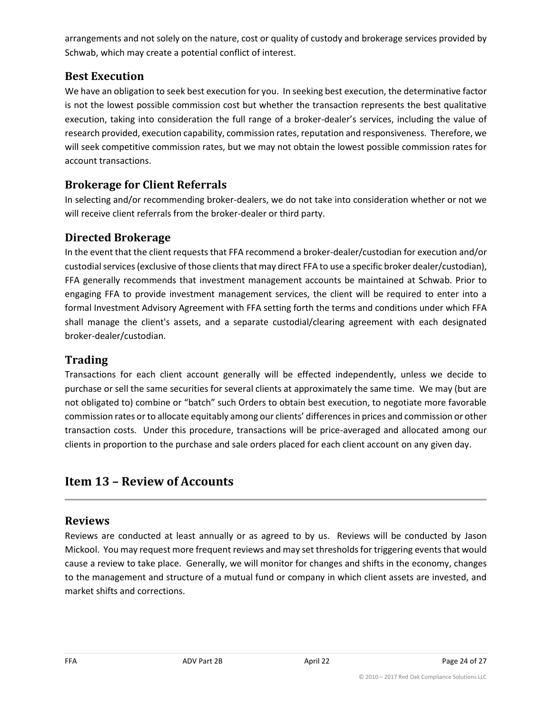arrangements and not solely on the nature, cost or quality of custody and brokerage services provided by Schwab, which may create a potential conflict of interest.

## **Best Execution**

We have an obligation to seek best execution for you. In seeking best execution, the determinative factor is not the lowest possible commission cost but whether the transaction represents the best qualitative execution, taking into consideration the full range of a broker-dealer's services, including the value of research provided, execution capability, commission rates, reputation and responsiveness. Therefore, we will seek competitive commission rates, but we may not obtain the lowest possible commission rates for account transactions.

## **Brokerage for Client Referrals**

In selecting and/or recommending broker-dealers, we do not take into consideration whether or not we will receive client referrals from the broker-dealer or third party.

## **Directed Brokerage**

In the event that the client requests that FFA recommend a broker-dealer/custodian for execution and/or custodial services (exclusive of those clients that may direct FFA to use a specific broker dealer/custodian), FFA generally recommends that investment management accounts be maintained at Schwab. Prior to engaging FFA to provide investment management services, the client will be required to enter into a formal Investment Advisory Agreement with FFA setting forth the terms and conditions under which FFA shall manage the client's assets, and a separate custodial/clearing agreement with each designated broker-dealer/custodian.

### **Trading**

Transactions for each client account generally will be effected independently, unless we decide to purchase or sell the same securities for several clients at approximately the same time. We may (but are not obligated to) combine or "batch" such Orders to obtain best execution, to negotiate more favorable commission rates or to allocate equitably among our clients' differences in prices and commission or other transaction costs. Under this procedure, transactions will be price-averaged and allocated among our clients in proportion to the purchase and sale orders placed for each client account on any given day.

# <span id="page-23-0"></span>**Item 13 – Review of Accounts**

### **Reviews**

Reviews are conducted at least annually or as agreed to by us. Reviews will be conducted by Jason Mickool. You may request more frequent reviews and may set thresholds for triggering events that would cause a review to take place. Generally, we will monitor for changes and shifts in the economy, changes to the management and structure of a mutual fund or company in which client assets are invested, and market shifts and corrections.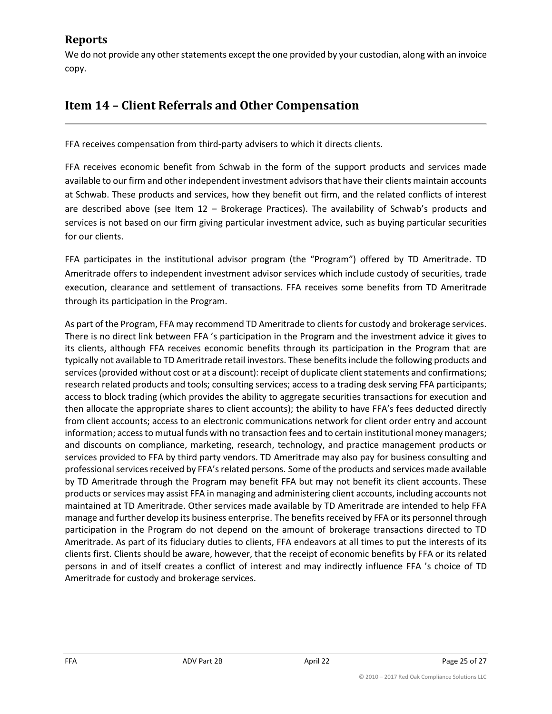## **Reports**

We do not provide any other statements except the one provided by your custodian, along with an invoice copy.

# <span id="page-24-0"></span>**Item 14 – Client Referrals and Other Compensation**

FFA receives compensation from third-party advisers to which it directs clients.

FFA receives economic benefit from Schwab in the form of the support products and services made available to our firm and other independent investment advisors that have their clients maintain accounts at Schwab. These products and services, how they benefit out firm, and the related conflicts of interest are described above (see Item 12 – Brokerage Practices). The availability of Schwab's products and services is not based on our firm giving particular investment advice, such as buying particular securities for our clients.

FFA participates in the institutional advisor program (the "Program") offered by TD Ameritrade. TD Ameritrade offers to independent investment advisor services which include custody of securities, trade execution, clearance and settlement of transactions. FFA receives some benefits from TD Ameritrade through its participation in the Program.

As part of the Program, FFA may recommend TD Ameritrade to clients for custody and brokerage services. There is no direct link between FFA 's participation in the Program and the investment advice it gives to its clients, although FFA receives economic benefits through its participation in the Program that are typically not available to TD Ameritrade retail investors. These benefits include the following products and services (provided without cost or at a discount): receipt of duplicate client statements and confirmations; research related products and tools; consulting services; access to a trading desk serving FFA participants; access to block trading (which provides the ability to aggregate securities transactions for execution and then allocate the appropriate shares to client accounts); the ability to have FFA's fees deducted directly from client accounts; access to an electronic communications network for client order entry and account information; access to mutual funds with no transaction fees and to certain institutional money managers; and discounts on compliance, marketing, research, technology, and practice management products or services provided to FFA by third party vendors. TD Ameritrade may also pay for business consulting and professional services received by FFA's related persons. Some of the products and services made available by TD Ameritrade through the Program may benefit FFA but may not benefit its client accounts. These products or services may assist FFA in managing and administering client accounts, including accounts not maintained at TD Ameritrade. Other services made available by TD Ameritrade are intended to help FFA manage and further develop its business enterprise. The benefits received by FFA or its personnel through participation in the Program do not depend on the amount of brokerage transactions directed to TD Ameritrade. As part of its fiduciary duties to clients, FFA endeavors at all times to put the interests of its clients first. Clients should be aware, however, that the receipt of economic benefits by FFA or its related persons in and of itself creates a conflict of interest and may indirectly influence FFA 's choice of TD Ameritrade for custody and brokerage services.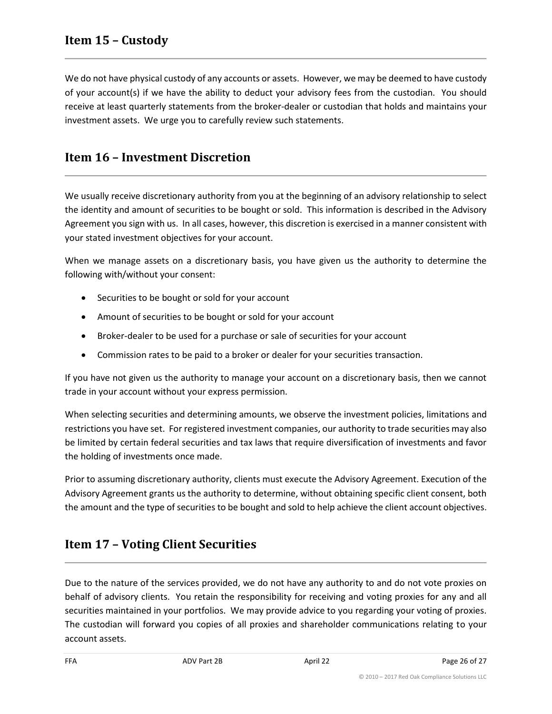<span id="page-25-0"></span>We do not have physical custody of any accounts or assets. However, we may be deemed to have custody of your account(s) if we have the ability to deduct your advisory fees from the custodian. You should receive at least quarterly statements from the broker-dealer or custodian that holds and maintains your investment assets. We urge you to carefully review such statements.

# <span id="page-25-1"></span>**Item 16 – Investment Discretion**

We usually receive discretionary authority from you at the beginning of an advisory relationship to select the identity and amount of securities to be bought or sold. This information is described in the Advisory Agreement you sign with us. In all cases, however, this discretion is exercised in a manner consistent with your stated investment objectives for your account.

When we manage assets on a discretionary basis, you have given us the authority to determine the following with/without your consent:

- Securities to be bought or sold for your account
- Amount of securities to be bought or sold for your account
- Broker-dealer to be used for a purchase or sale of securities for your account
- Commission rates to be paid to a broker or dealer for your securities transaction.

If you have not given us the authority to manage your account on a discretionary basis, then we cannot trade in your account without your express permission.

When selecting securities and determining amounts, we observe the investment policies, limitations and restrictions you have set. For registered investment companies, our authority to trade securities may also be limited by certain federal securities and tax laws that require diversification of investments and favor the holding of investments once made.

Prior to assuming discretionary authority, clients must execute the Advisory Agreement. Execution of the Advisory Agreement grants us the authority to determine, without obtaining specific client consent, both the amount and the type of securities to be bought and sold to help achieve the client account objectives.

# <span id="page-25-2"></span>**Item 17 – Voting Client Securities**

Due to the nature of the services provided, we do not have any authority to and do not vote proxies on behalf of advisory clients. You retain the responsibility for receiving and voting proxies for any and all securities maintained in your portfolios. We may provide advice to you regarding your voting of proxies. The custodian will forward you copies of all proxies and shareholder communications relating to your account assets.